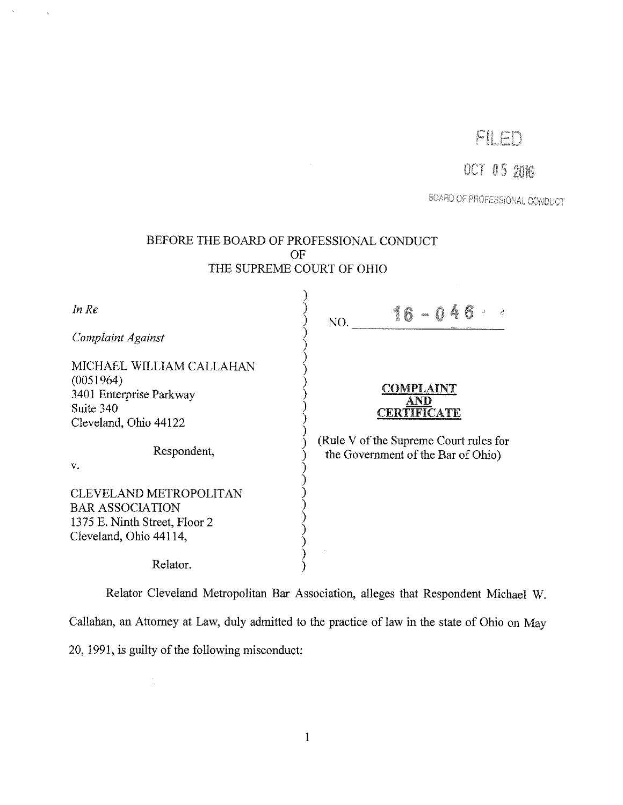# FILED

# 001 05 2016

BOARD OF PROFESSIONAL CONDUCT

| BEFORE THE BOARD OF PROFESSIONAL CONDUCT<br>OF<br>THE SUPREME COURT OF OHIO                                 |                                                                              |
|-------------------------------------------------------------------------------------------------------------|------------------------------------------------------------------------------|
| In Re<br>Complaint Against                                                                                  | 16 - 04<br>NO.                                                               |
| MICHAEL WILLIAM CALLAHAN<br>(0051964)<br>3401 Enterprise Parkway<br>Suite 340<br>Cleveland, Ohio 44122      | <b>COMPLAINT</b><br>AND<br><b>CERTIFICATE</b>                                |
| Respondent,<br>v.                                                                                           | (Rule V of the Supreme Court rules for<br>the Government of the Bar of Ohio) |
| CLEVELAND METROPOLITAN<br><b>BAR ASSOCIATION</b><br>1375 E. Ninth Street, Floor 2<br>Cleveland, Ohio 44114, |                                                                              |
| Relator.                                                                                                    |                                                                              |

Relator Cleveland Metropolitan Bar Association, alleges that Respondent Michael W.

Callahan, an Attorney at Law, duly admitted to the practice of law in the state of Ohio on May

20, 1991, is guilty of the following misconduct:

 $\mathbb{C}$ 

 $\mathcal{L}^{\pm}$ 

 $\bar{\lambda}$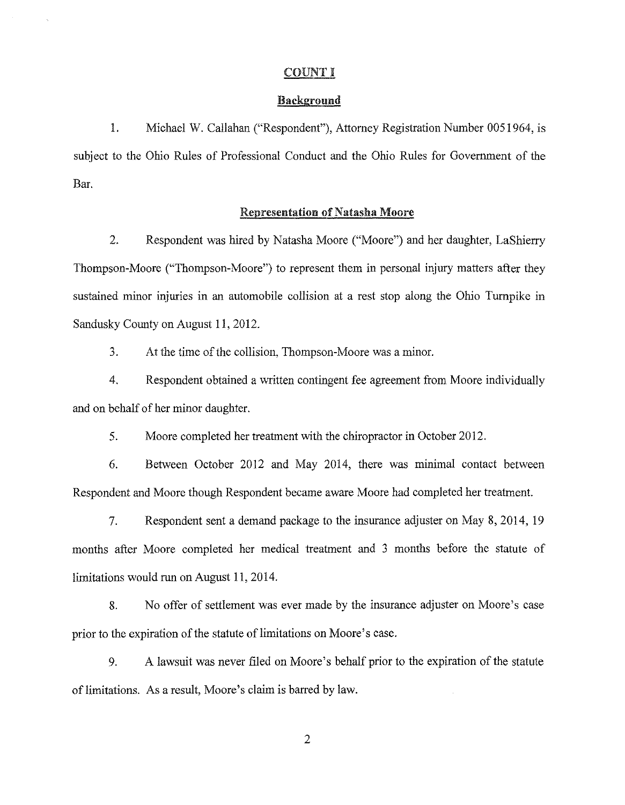### COUNT I

### Background

1. Michael W. Callahan ("Respondent"), Attorney Registration Number 0051964, is subject to the Ohio Rules of Professional Conduct and the Ohio Rules for Government of the Bar.

## Representation of Natasha Moore

2. Respondent was hired by Natasha Moore ("Moore") and her daughter, LaShierry Thompson-Moore ("Thompson-Moore") to represent them in personal injury matters after they sustained minor injuries in an automobile collision at a rest stop along the Ohio Turnpike in Sandusky County on August 11, 2012.

3. At the time of the collision, Thompson-Moore was a minor.

4. Respondent obtained a written contingent fee agreement from Moore individually and on behalf of her minor daughter.

5. Moore completed her treatment with the chiropractor in October 2012.

6. Between October 2012 and May 2014, there was minimal contact between Respondent and Moore though Respondent became aware Moore had completed her treatment.

7. Respondent sent a demand package to the insurance adjuster on May 8, 2014, 19 months after Moore completed her medical treatment and 3 months before the statute of limitations would run on August 11, 2014.

8. No offer of settlement was ever made by the insurance adjuster on Moore's case prior to the expiration of the statute of limitations on Moore's case.

9. A lawsuit was never filed on Moore's behalf prior to the expiration of the statute of limitations. As a result, Moore's claim is barred by law.

2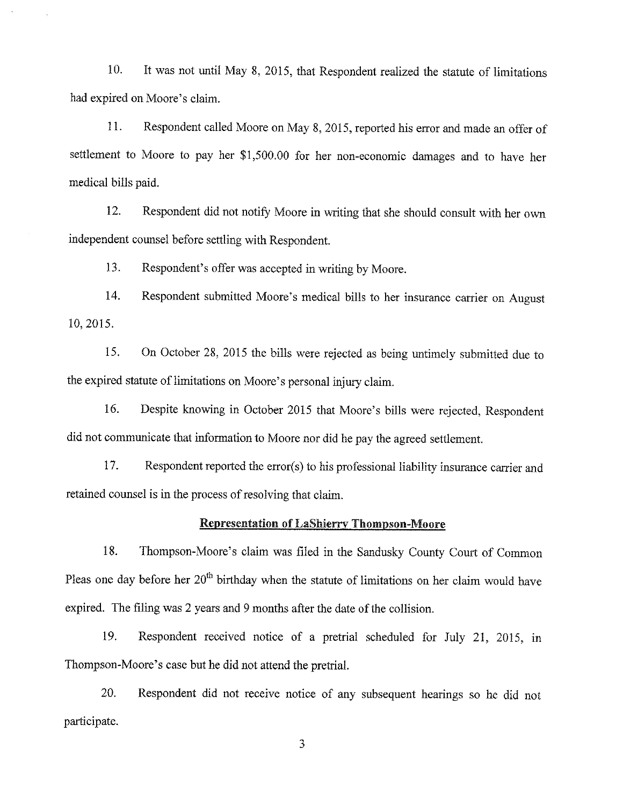10. It was not until May 8, 2015, that Respondent realized the statute of limitations had expired on Moore's claim.

11. Respondent called Moore on May 8, 2015, reported his error and made an offer of settlement to Moore to pay her \$1,500.00 for her non-economic damages and to have her medical bills paid.

12. Respondent did not notify Moore in writing that she should consult with her own independent counsel before settling with Respondent.

13. Respondent's offer was accepted in writing by Moore.

14. Respondent submitted Moore's medical bills to her insurance carrier on August 10, 2015.

15. On October 28, 2015 the bills were rejected as being untimely submitted due to the expired statute of limitations on Moore's personal injury claim.

16. Despite knowing in October 2015 that Moore's bills were rejected, Respondent did not communicate that information to Moore nor did he pay the agreed settlement.

17. Respondent reported the error(s) to his professional liability insurance carrier and retained counsel is in the process of resolving that claim.

## Representation of LaShierry Thompson-Moore

18. Thompson-Moore's claim was filed in the Sandusky County Court of Common Pleas one day before her 20<sup>th</sup> birthday when the statute of limitations on her claim would have expired. The filing was 2 years and 9 months after the date of the collision.

19. Respondent received notice of a pretrial scheduled for July 21, 2015, m Thompson-Moore's case but he did not attend the pretrial.

20. Respondent did not receive notice of any subsequent hearings so he did not participate.

3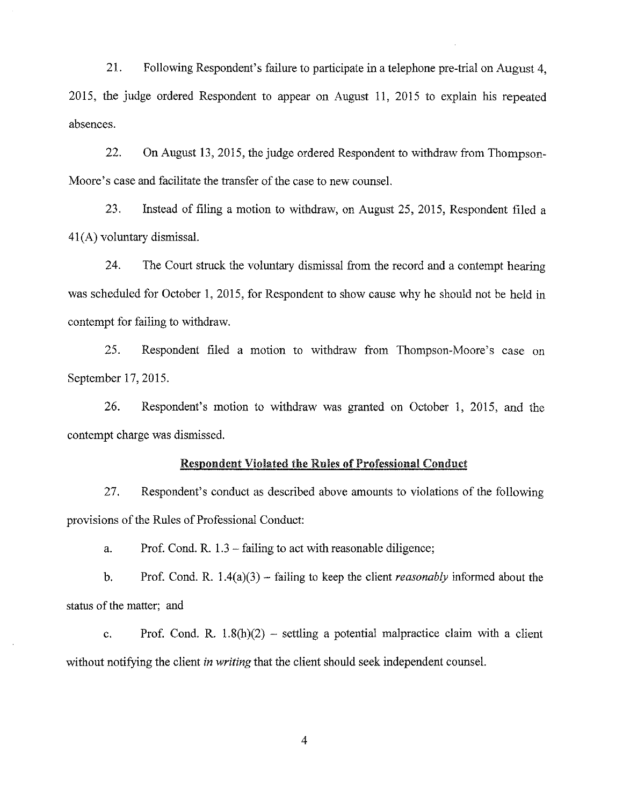21. Following Respondent's failure to participate in a telephone pre-trial on August 4, 2015, the judge ordered Respondent to appear on August 11, 2015 to explain his repeated absences.

22. On August 13, 2015, the judge ordered Respondent to withdraw from Thompson-Moore's case and facilitate the transfer of the case to new counsel.

23. Instead of filing a motion to withdraw, on August 25, 2015, Respondent filed a 41 (A) voluntary dismissal.

24. The Court struck the voluntary dismissal from the record and a contempt hearing was scheduled for October 1, 2015, for Respondent to show cause why he should not be held in contempt for failing to withdraw.

25. Respondent filed a motion to withdraw from Thompson-Moore's case on September 17, 2015.

26. Respondent's motion to withdraw was granted on October 1, 2015, and the contempt charge was dismissed.

#### Respondent Violated the Rules of Professional Conduct

27. Respondent's conduct as described above amounts to violations of the following provisions of the Rules of Professional Conduct:

a. Prof. Cond. R. 1.3 - failing to act with reasonable diligence;

b. Prof. Cond. R. 1.4(a)(3) - failing to keep the client *reasonably* informed about the status of the matter; and

c. Prof. Cond. R.  $1.8(h)(2)$  – settling a potential malpractice claim with a client without notifying the client *in writing* that the client should seek independent counsel.

4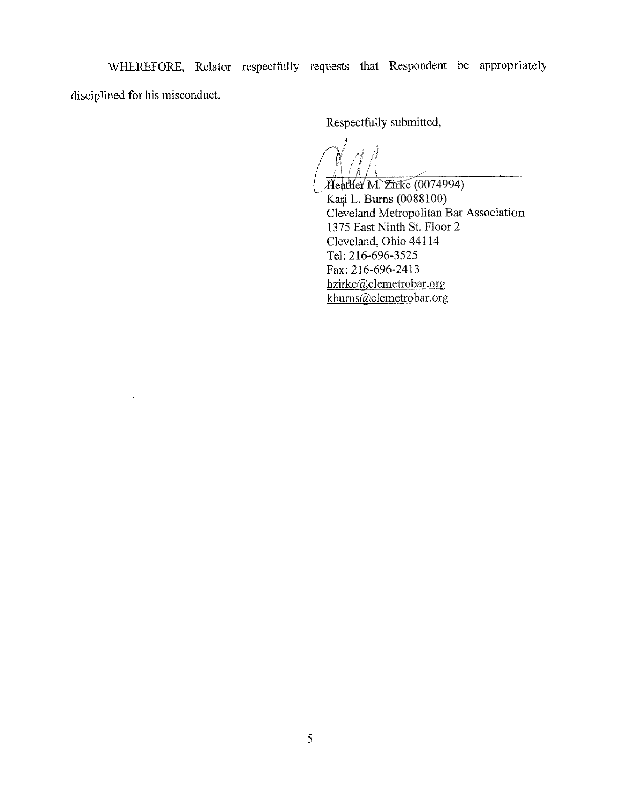WHEREFORE, Relator respectfully requests that Respondent be appropriately disciplined for his misconduct.

 $\mathbb{Z}^2$ 

Respectfully submitted,

 $\alpha'$ 

XIeather M. Zirke (0074994) Kari L. Burns (0088100) Cle¥eland Metropolitan Bar Association 1375 East Ninth St. Floor 2 Cleveland, Ohio 44114 Tel: 216-696-3525 Fax:216-696-2413 hzirke@clemetrobar.org kburns@clemetrobar.org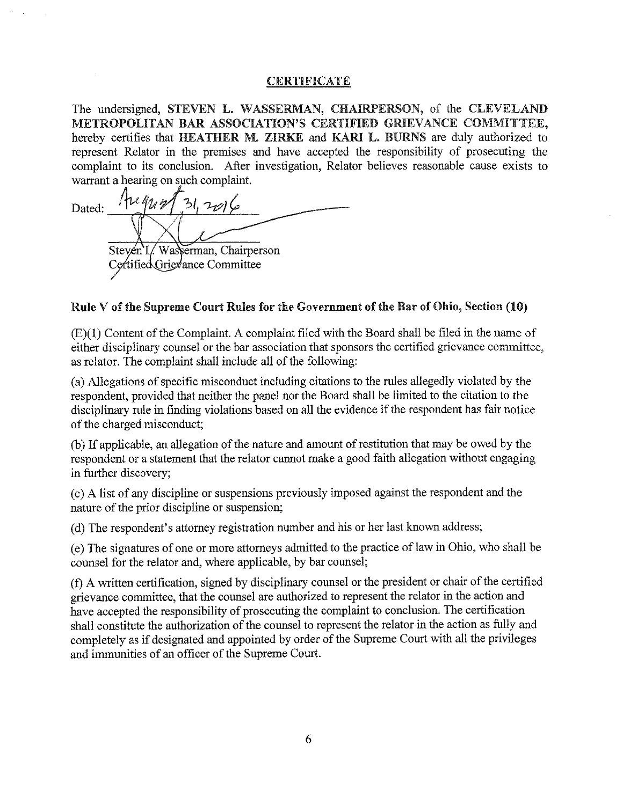## **CERTIFICATE**

The undersigned, STEVEN L. WASSERMAN, CHAIRPERSON, of the CLEVELAND METROPOLITAN BAR ASSOCIATION'S CERTIFIED GRIEVANCE COMMITTEE, hereby certifies that HEATHER M. ZIRKE and KARI L. BURNS are duly authorized to represent Relator in the premises and have accepted the responsibility of prosecuting the complaint to its conclusion. After investigation, Relator believes reasonable cause exists to warrant a hearing on such complaint.

 $A\nu$  m Dated:  $\frac{144477312066}{140016}$ Steven L. Wasserman, Chairperson Certified Grievance Committee

# Rule V of the Supreme Court Rules for the Government of the Bar of Ohio, Section  $(10)$

(E)(l) Content of the Complaint. A complaint filed with the Board shall be filed in the name of either disciplinary counsel or the bar association that sponsors the certified grievance committee, as relator. The complaint shall include all of the following:

(a) Allegations of specific misconduct including citations to the rules allegedly violated by the respondent, provided that neither the panel nor the Board shall be limited to the citation to the disciplinary rule in finding violations based on all the evidence if the respondent has fair notice of the charged misconduct;

(b) If applicable, an allegation of the nature and amount of restitution that may be owed by the respondent or a statement that the relator cannot make a good faith allegation without engaging in further discovery;

( c) A list of any discipline or suspensions previously imposed against the respondent and the nature of the prior discipline or suspension;

(d) The respondent's attorney registration number and his or her last known address;

( e) The signatures of one or more attorneys admitted to the practice of law in Ohio, who shall be counsel for the relator and, where applicable, by bar counsel;

(f) A written certification, signed by disciplinary counsel or the president or chair of the certified grievance committee, that the counsel are authorized to represent the relator in the action and have accepted the responsibility of prosecuting the complaint to conclusion. The certification shall constitute the authorization of the counsel to represent the relator in the action as fully and completely as if designated and appointed by order of the Supreme Court with all the privileges and immunities of an officer of the Supreme Court.